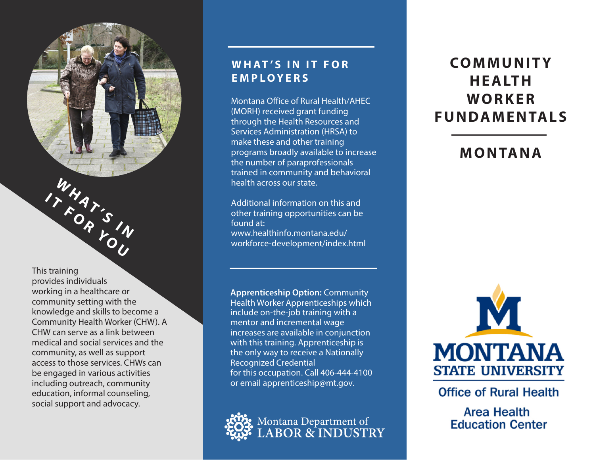This training provides individuals working in a healthcare or community setting with the knowledge and skills to become a Community Health Worker (CHW). A CHW can serve as a link between medical and social services and the community, as well as support access to those services. CHWs can be engaged in various activities including outreach, community education, informal counseling, social support and advocacy.

 **AT ' S**

**17 AT S IN SOUTH** 

 **I**

**W H**

## **WHAT'S IN IT FOR EMPLOYERS**

Montana Office of Rural Health/AHEC (MORH) received grant funding through the Health Resources and Services Administration (HRSA) to make these and other training programs broadly available to increase the number of paraprofessionals trained in community and behavioral health across our state.

Additional information on this and other training opportunities can be found at: www.healthinfo.montana.edu/ workforce-development/index.html

**Apprenticeship Option:** Community Health Worker Apprenticeships which include on-the-job training with a mentor and incremental wage increases are available in conjunction with this training. Apprenticeship is the only way to receive a Nationally Recognized Credential for this occupation. Call 406-444-4100 or email apprenticeship@mt.gov.



# **CO M M U N I T Y H E A LT H W O R K E R FUNDAMENTALS**

**MONTANA**



**Office of Rural Health** 

**Area Health Education Center**